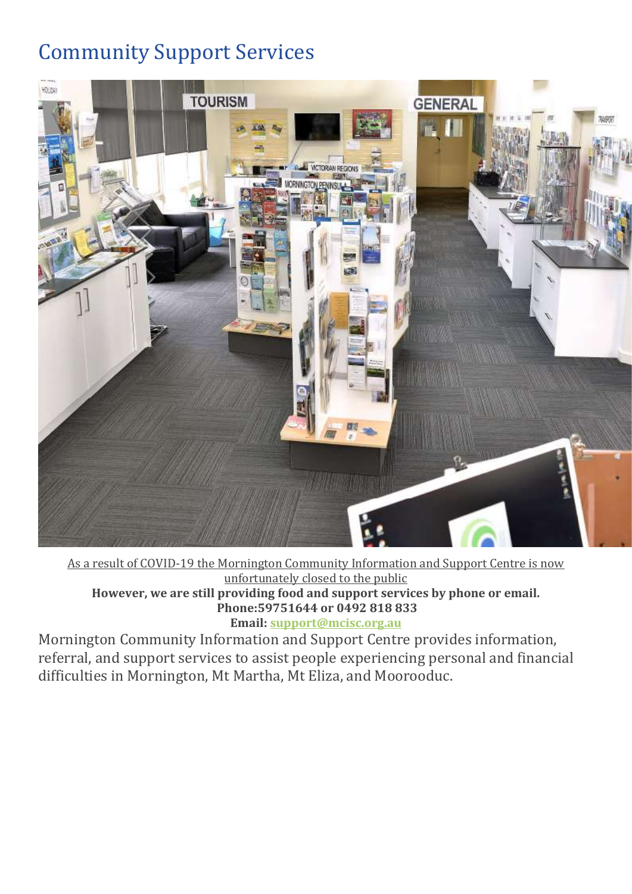# Community Support Services



As a result of COVID-19 the Mornington Community Information and Support Centre is now unfortunately closed to the public **However, we are still providing food and support services by phone or email. Phone:59751644 or 0492 818 833 Email: [support@mcisc.org.au](mailto:support@mcisc.org.au)**

Mornington Community Information and Support Centre provides information, referral, and support services to assist people experiencing personal and financial difficulties in Mornington, Mt Martha, Mt Eliza, and Moorooduc.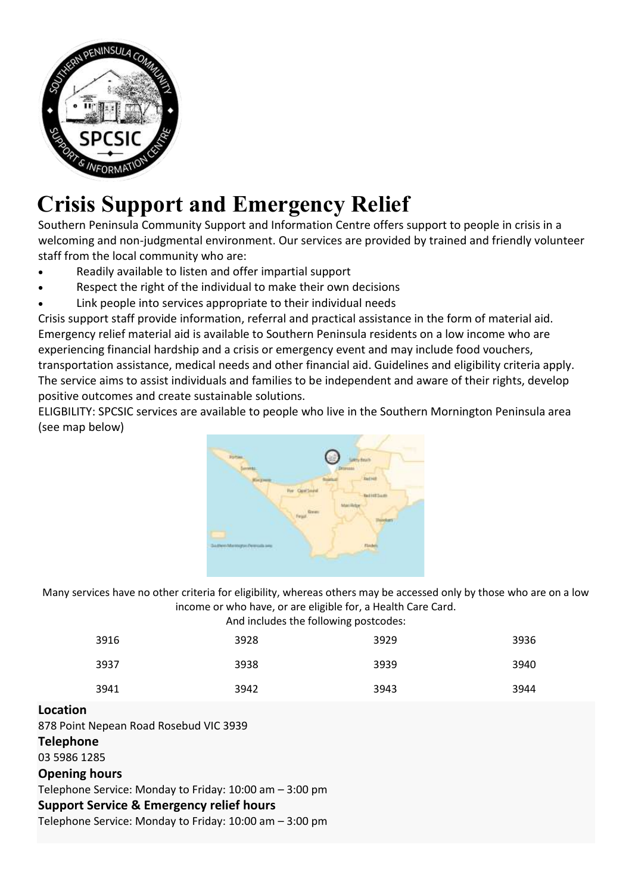

# **[C](https://www.spcsic.org/crisis/)risis Support and Emergency Relief**

Southern Peninsula Community Support and Information Centre offers support to people in crisis in a welcoming and non-judgmental environment. Our services are provided by trained and friendly volunteer staff from the local community who are:

- Readily available to listen and offer impartial support
- Respect the right of the individual to make their own decisions
- Link people into services appropriate to their individual needs

Crisis support staff provide information, referral and practical assistance in the form of material aid. Emergency relief material aid is available to Southern Peninsula residents on a low income who are experiencing financial hardship and a crisis or emergency event and may include food vouchers, transportation assistance, medical needs and other financial aid. Guidelines and eligibility criteria apply. The service aims to assist individuals and families to be independent and aware of their rights, develop positive outcomes and create sustainable solutions.

ELIGBILITY: SPCSIC services are available to people who live in the Southern Mornington Peninsula area (see map below)



Many services have no other criteria for eligibility, whereas others may be accessed only by those who are on a low income or who have, or are eligible for, a Health Care Card.

And includes the following postcodes:

| 3916 | 3928 | 3929 | 3936 |
|------|------|------|------|
| 3937 | 3938 | 3939 | 3940 |
| 3941 | 3942 | 3943 | 3944 |

# **Location**

878 Point Nepean Road Rosebud VIC 3939

**Telephone**

[03 5986 1285](tel:03%205986%201285)

# **Opening hours**

Telephone Service: Monday to Friday: 10:00 am – 3:00 pm

**Support Service & Emergency relief hours**

Telephone Service: Monday to Friday: 10:00 am – 3:00 pm